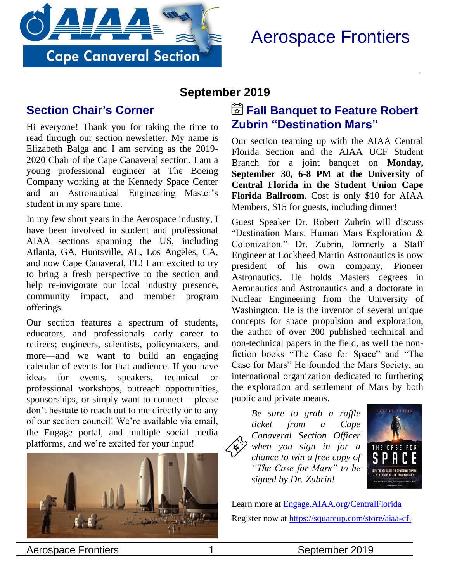

# Aerospace Frontiers

#### **September 2019**

#### **Section Chair's Corner**

Hi everyone! Thank you for taking the time to read through our section newsletter. My name is Elizabeth Balga and I am serving as the 2019- 2020 Chair of the Cape Canaveral section. I am a young professional engineer at The Boeing Company working at the Kennedy Space Center and an Astronautical Engineering Master's student in my spare time.

In my few short years in the Aerospace industry, I have been involved in student and professional AIAA sections spanning the US, including Atlanta, GA, Huntsville, AL, Los Angeles, CA, and now Cape Canaveral, FL! I am excited to try to bring a fresh perspective to the section and help re-invigorate our local industry presence, community impact, and member program offerings.

Our section features a spectrum of students, educators, and professionals—early career to retirees; engineers, scientists, policymakers, and more—and we want to build an engaging calendar of events for that audience. If you have ideas for events, speakers, technical or professional workshops, outreach opportunities, sponsorships, or simply want to connect – please don't hesitate to reach out to me directly or to any of our section council! We're available via email, the Engage portal, and multiple social media platforms, and we're excited for your input!



### **Fall Banquet to Feature Robert Zubrin "Destination Mars"**

Our section teaming up with the AIAA Central Florida Section and the AIAA UCF Student Branch for a joint banquet on **Monday, September 30, 6-8 PM at the University of Central Florida in the Student Union Cape Florida Ballroom**. Cost is only \$10 for AIAA Members, \$15 for guests, including dinner!

Guest Speaker Dr. Robert Zubrin will discuss "Destination Mars: Human Mars Exploration & Colonization." Dr. Zubrin, formerly a Staff Engineer at Lockheed Martin Astronautics is now president of his own company, Pioneer Astronautics. He holds Masters degrees in Aeronautics and Astronautics and a doctorate in Nuclear Engineering from the University of Washington. He is the inventor of several unique concepts for space propulsion and exploration, the author of over 200 published technical and non-technical papers in the field, as well the nonfiction books "The Case for Space" and "The Case for Mars" He founded the Mars Society, an international organization dedicated to furthering the exploration and settlement of Mars by both public and private means.

*Be sure to grab a raffle ticket from a Cape Canaveral Section Officer when you sign in for a chance to win a free copy of "The Case for Mars" to be signed by Dr. Zubrin!* 



Learn more at [Engage.AIAA.org/CentralFlorida](https://engage.aiaa.org/CentralFlorida)  Register now at<https://squareup.com/store/aiaa-cfl>

Aerospace Frontiers 1 1 September 2019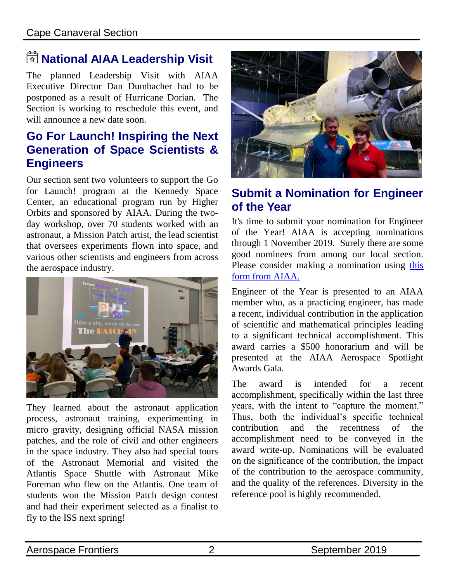## **National AIAA Leadership Visit**

The planned Leadership Visit with AIAA Executive Director Dan Dumbacher had to be postponed as a result of Hurricane Dorian. The Section is working to reschedule this event, and will announce a new date soon.

#### **Go For Launch! Inspiring the Next Generation of Space Scientists & Engineers**

Our section sent two volunteers to support the Go for Launch! program at the Kennedy Space Center, an educational program run by Higher Orbits and sponsored by AIAA. During the twoday workshop, over 70 students worked with an astronaut, a Mission Patch artist, the lead scientist that oversees experiments flown into space, and various other scientists and engineers from across the aerospace industry.



They learned about the astronaut application process, astronaut training, experimenting in micro gravity, designing official NASA mission patches, and the role of civil and other engineers in the space industry. They also had special tours of the Astronaut Memorial and visited the Atlantis Space Shuttle with Astronaut Mike Foreman who flew on the Atlantis. One team of students won the Mission Patch design contest and had their experiment selected as a finalist to fly to the ISS next spring!



### **Submit a Nomination for Engineer of the Year**

It's time to submit your nomination for Engineer of the Year! AIAA is accepting nominations through 1 November 2019. Surely there are some good nominees from among our local section. Please consider making a nomination using [this](https://www.aiaa.org/docs/default-source/default-document-library/aiaa-award-nomination-form-(5).docx)  [form from AIAA.](https://www.aiaa.org/docs/default-source/default-document-library/aiaa-award-nomination-form-(5).docx)

Engineer of the Year is presented to an AIAA member who, as a practicing engineer, has made a recent, individual contribution in the application of scientific and mathematical principles leading to a significant technical accomplishment. This award carries a \$500 honorarium and will be presented at the AIAA Aerospace Spotlight Awards Gala.

The award is intended for a recent accomplishment, specifically within the last three years, with the intent to "capture the moment." Thus, both the individual's specific technical contribution and the recentness of the accomplishment need to be conveyed in the award write-up. Nominations will be evaluated on the significance of the contribution, the impact of the contribution to the aerospace community, and the quality of the references. Diversity in the reference pool is highly recommended.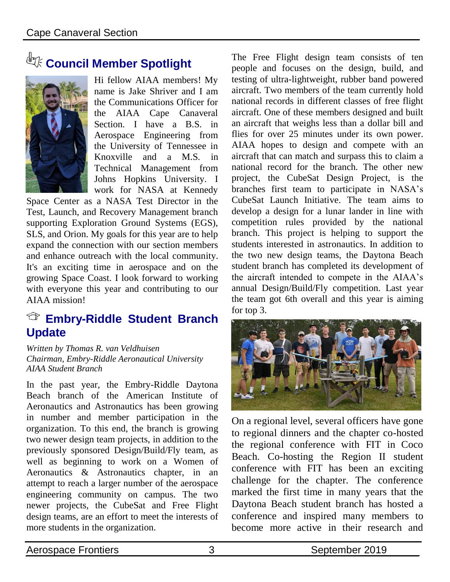# **Council Member Spotlight**



Hi fellow AIAA members! My name is Jake Shriver and I am the Communications Officer for the AIAA Cape Canaveral Section. I have a B.S. in Aerospace Engineering from the University of Tennessee in Knoxville and a M.S. in Technical Management from Johns Hopkins University. I work for NASA at Kennedy

Space Center as a NASA Test Director in the Test, Launch, and Recovery Management branch supporting Exploration Ground Systems (EGS), SLS, and Orion. My goals for this year are to help expand the connection with our section members and enhance outreach with the local community. It's an exciting time in aerospace and on the growing Space Coast. I look forward to working with everyone this year and contributing to our AIAA mission!

#### **Embry-Riddle Student Branch Update**

*Written by Thomas R. van Veldhuisen Chairman, Embry-Riddle Aeronautical University AIAA Student Branch*

In the past year, the Embry-Riddle Daytona Beach branch of the American Institute of Aeronautics and Astronautics has been growing in number and member participation in the organization. To this end, the branch is growing two newer design team projects, in addition to the previously sponsored Design/Build/Fly team, as well as beginning to work on a Women of Aeronautics & Astronautics chapter, in an attempt to reach a larger number of the aerospace engineering community on campus. The two newer projects, the CubeSat and Free Flight design teams, are an effort to meet the interests of more students in the organization.

The Free Flight design team consists of ten people and focuses on the design, build, and testing of ultra-lightweight, rubber band powered aircraft. Two members of the team currently hold national records in different classes of free flight aircraft. One of these members designed and built an aircraft that weighs less than a dollar bill and flies for over 25 minutes under its own power. AIAA hopes to design and compete with an aircraft that can match and surpass this to claim a national record for the branch. The other new project, the CubeSat Design Project, is the branches first team to participate in NASA's CubeSat Launch Initiative. The team aims to develop a design for a lunar lander in line with competition rules provided by the national branch. This project is helping to support the students interested in astronautics. In addition to the two new design teams, the Daytona Beach student branch has completed its development of the aircraft intended to compete in the AIAA's annual Design/Build/Fly competition. Last year the team got 6th overall and this year is aiming for top 3.



On a regional level, several officers have gone to regional dinners and the chapter co-hosted the regional conference with FIT in Coco Beach. Co-hosting the Region II student conference with FIT has been an exciting challenge for the chapter. The conference marked the first time in many years that the Daytona Beach student branch has hosted a conference and inspired many members to become more active in their research and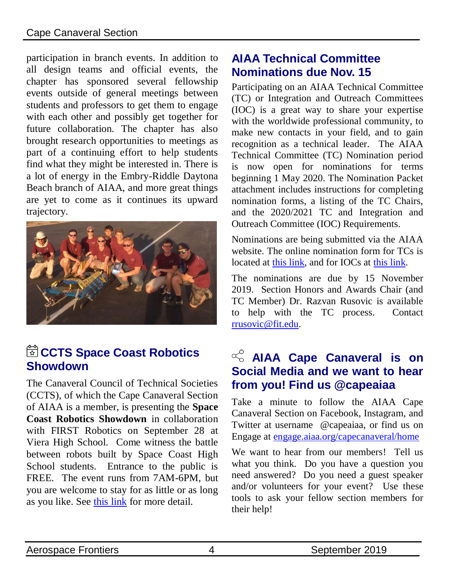#### Cape Canaveral Section

participation in branch events. In addition to all design teams and official events, the chapter has sponsored several fellowship events outside of general meetings between students and professors to get them to engage with each other and possibly get together for future collaboration. The chapter has also brought research opportunities to meetings as part of a continuing effort to help students find what they might be interested in. There is a lot of energy in the Embry-Riddle Daytona Beach branch of AIAA, and more great things are yet to come as it continues its upward trajectory.



### CCTS Space Coast Robotics **Showdown**

The Canaveral Council of Technical Societies (CCTS), of which the Cape Canaveral Section of AIAA is a member, is presenting the **Space Coast Robotics Showdown** in collaboration with FIRST Robotics on September 28 at Viera High School. Come witness the battle between robots built by Space Coast High School students. Entrance to the public is FREE. The event runs from 7AM-6PM, but you are welcome to stay for as little or as long as you like. See [this link](https://cctsonline.org/blog/wp-content/uploads/2019/08/SpaceCoast-Robotics-Showdown-Link.pdf) for more detail.

#### **AIAA Technical Committee Nominations due Nov. 15**

Participating on an AIAA Technical Committee (TC) or Integration and Outreach Committees (IOC) is a great way to share your expertise with the worldwide professional community, to make new contacts in your field, and to gain recognition as a technical leader. The AIAA Technical Committee (TC) Nomination period is now open for nominations for terms beginning 1 May 2020. The Nomination Packet attachment includes instructions for completing nomination forms, a listing of the TC Chairs, and the 2020/2021 TC and Integration and Outreach Committee (IOC) Requirements.

Nominations are being submitted via the AIAA website. The online nomination form for TCs is located at [this link,](https://www.aiaa.org/home/get-involved/committees-groups/technical-committees) and for IOCs at [this link.](https://www.aiaa.org/home/get-involved/committees-groups/Integration-and-Outreach-Division-Committees)

The nominations are due by 15 November 2019. Section Honors and Awards Chair (and TC Member) Dr. Razvan Rusovic is available to help with the TC process. Contact [rrusovic@fit.edu.](mailto:rrusovic@fit.edu)

### $\alpha$ <sup>C</sup> AIAA Cape Canaveral is on **Social Media and we want to hear from you! Find us @capeaiaa**

Take a minute to follow the AIAA Cape Canaveral Section on Facebook, Instagram, and Twitter at username @capeaiaa, or find us on Engage at [engage.aiaa.org/capecanaveral/home](http://engage.aiaa.org/capecanaveral/home) 

We want to hear from our members! Tell us what you think. Do you have a question you need answered? Do you need a guest speaker and/or volunteers for your event? Use these tools to ask your fellow section members for their help!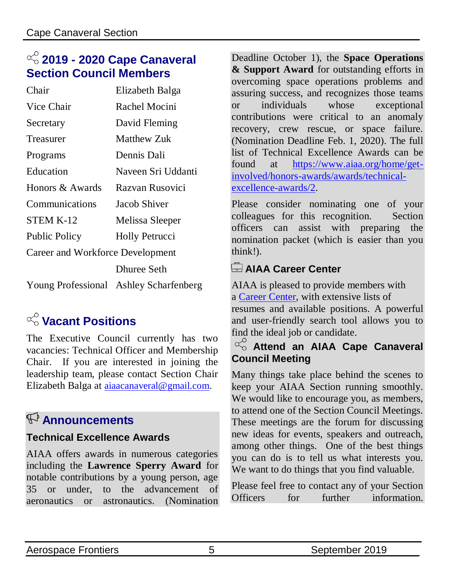## **2019 - 2020 Cape Canaveral Section Council Members**

| Chair                            | Elizabeth Balga                        |
|----------------------------------|----------------------------------------|
| Vice Chair                       | Rachel Mocini                          |
| Secretary                        | David Fleming                          |
| Treasurer                        | <b>Matthew Zuk</b>                     |
| Programs                         | Dennis Dali                            |
| Education                        | Naveen Sri Uddanti                     |
| Honors & Awards                  | Razvan Rusovici                        |
| Communications                   | Jacob Shiver                           |
| <b>STEM K-12</b>                 | Melissa Sleeper                        |
| <b>Public Policy</b>             | <b>Holly Petrucci</b>                  |
| Career and Workforce Development |                                        |
|                                  | <b>Dhuree Seth</b>                     |
|                                  | Young Professional Ashley Scharfenberg |

## **Vacant Positions**

The Executive Council currently has two vacancies: Technical Officer and Membership Chair. If you are interested in joining the leadership team, please contact Section Chair Elizabeth Balga at [aiaacanaveral@gmail.com.](mailto:aiaacanaveral@gmail.com)

## **Announcements**

#### **Technical Excellence Awards**

AIAA offers awards in numerous categories including the **Lawrence Sperry Award** for notable contributions by a young person, age 35 or under, to the advancement of aeronautics or astronautics. (Nomination Deadline October 1), the **Space Operations & Support Award** for outstanding efforts in overcoming space operations problems and assuring success, and recognizes those teams or individuals whose exceptional contributions were critical to an anomaly recovery, crew rescue, or space failure. (Nomination Deadline Feb. 1, 2020). The full list of Technical Excellence Awards can be found at [https://www.aiaa.org/home/get](https://www.aiaa.org/home/get-involved/honors-awards/awards/technical-excellence-awards/2)[involved/honors-awards/awards/technical](https://www.aiaa.org/home/get-involved/honors-awards/awards/technical-excellence-awards/2)[excellence-awards/2.](https://www.aiaa.org/home/get-involved/honors-awards/awards/technical-excellence-awards/2)

Please consider nominating one of your colleagues for this recognition. Section officers can assist with preparing the nomination packet (which is easier than you think!).

#### **AIAA Career Center**

AIAA is pleased to provide members with a [Career Center,](http://careercenter.aiaa.org/) with extensive lists of resumes and available positions. A powerful and user-friendly search tool allows you to find the ideal job or candidate.

#### $\alpha$ <sup>O</sup><sub>O</sub> Attend an AIAA Cape Canaveral **Council Meeting**

Many things take place behind the scenes to keep your AIAA Section running smoothly. We would like to encourage you, as members, to attend one of the Section Council Meetings. These meetings are the forum for discussing new ideas for events, speakers and outreach, among other things. One of the best things you can do is to tell us what interests you. We want to do things that you find valuable.

Please feel free to contact any of your Section Officers for further information.